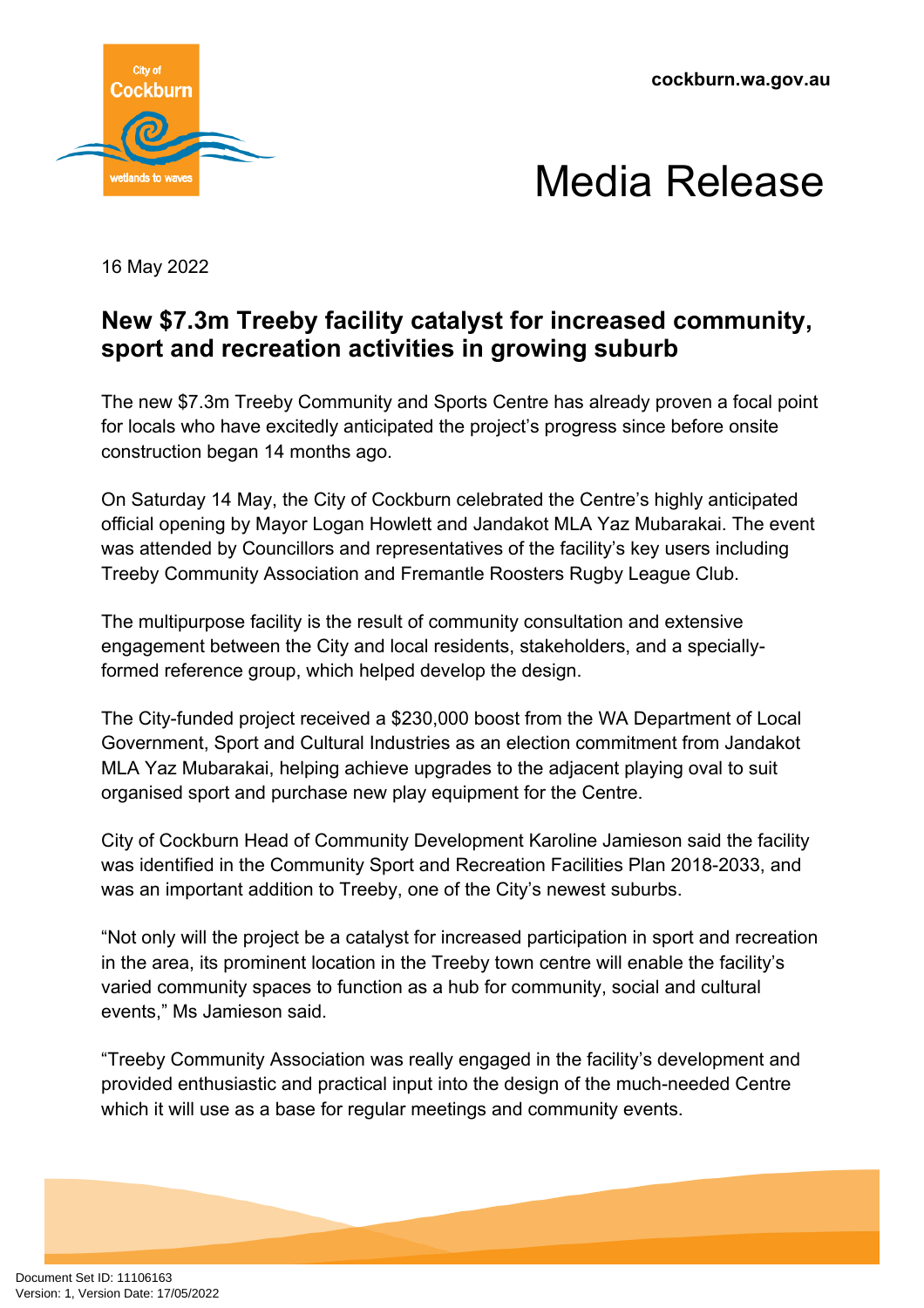



16 May 2022

## **New \$7.3m Treeby facility catalyst for increased community, sport and recreation activities in growing suburb**

The new \$7.3m Treeby Community and Sports Centre has already proven a focal point for locals who have excitedly anticipated the project's progress since before onsite construction began 14 months ago.

On Saturday 14 May, the City of Cockburn celebrated the Centre's highly anticipated official opening by Mayor Logan Howlett and Jandakot MLA Yaz Mubarakai. The event was attended by Councillors and representatives of the facility's key users including Treeby Community Association and Fremantle Roosters Rugby League Club.

The multipurpose facility is the result of community consultation and extensive engagement between the City and local residents, stakeholders, and a speciallyformed reference group, which helped develop the design.

The City-funded project received a \$230,000 boost from the WA Department of Local Government, Sport and Cultural Industries as an election commitment from Jandakot MLA Yaz Mubarakai, helping achieve upgrades to the adjacent playing oval to suit organised sport and purchase new play equipment for the Centre.

City of Cockburn Head of Community Development Karoline Jamieson said the facility was identified in the Community Sport and Recreation Facilities Plan 2018-2033, and was an important addition to Treeby, one of the City's newest suburbs.

"Not only will the project be a catalyst for increased participation in sport and recreation in the area, its prominent location in the Treeby town centre will enable the facility's varied community spaces to function as a hub for community, social and cultural events," Ms Jamieson said.

"Treeby Community Association was really engaged in the facility's development and provided enthusiastic and practical input into the design of the much-needed Centre which it will use as a base for regular meetings and community events.

Document Set ID: 11106163<br>Version: 1, Version Date: 17/05/2022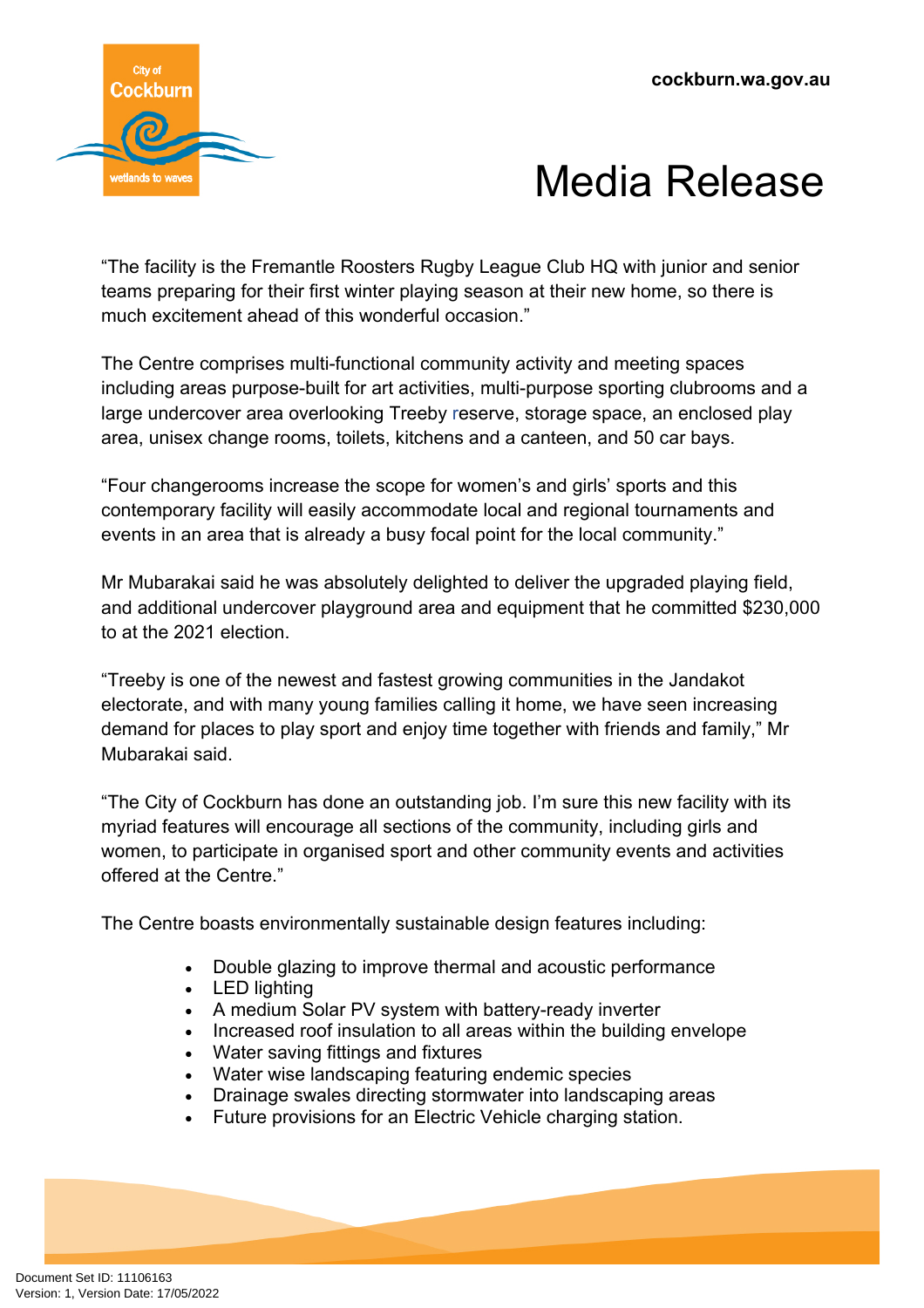



"The facility is the Fremantle Roosters Rugby League Club HQ with junior and senior teams preparing for their first winter playing season at their new home, so there is much excitement ahead of this wonderful occasion."

The Centre comprises multi-functional community activity and meeting spaces including areas purpose-built for art activities, multi-purpose sporting clubrooms and a large undercover area overlooking Treeby reserve, storage space, an enclosed play area, unisex change rooms, toilets, kitchens and a canteen, and 50 car bays.

"Four changerooms increase the scope for women's and girls' sports and this contemporary facility will easily accommodate local and regional tournaments and events in an area that is already a busy focal point for the local community."

Mr Mubarakai said he was absolutely delighted to deliver the upgraded playing field, and additional undercover playground area and equipment that he committed \$230,000 to at the 2021 election.

"Treeby is one of the newest and fastest growing communities in the Jandakot electorate, and with many young families calling it home, we have seen increasing demand for places to play sport and enjoy time together with friends and family," Mr Mubarakai said.

"The City of Cockburn has done an outstanding job. I'm sure this new facility with its myriad features will encourage all sections of the community, including girls and women, to participate in organised sport and other community events and activities offered at the Centre."

The Centre boasts environmentally sustainable design features including:

- Double glazing to improve thermal and acoustic performance
- LED lighting
- A medium Solar PV system with battery-ready inverter
- Increased roof insulation to all areas within the building envelope
- Water saving fittings and fixtures
- Water wise landscaping featuring endemic species
- Drainage swales directing stormwater into landscaping areas
- Future provisions for an Electric Vehicle charging station.